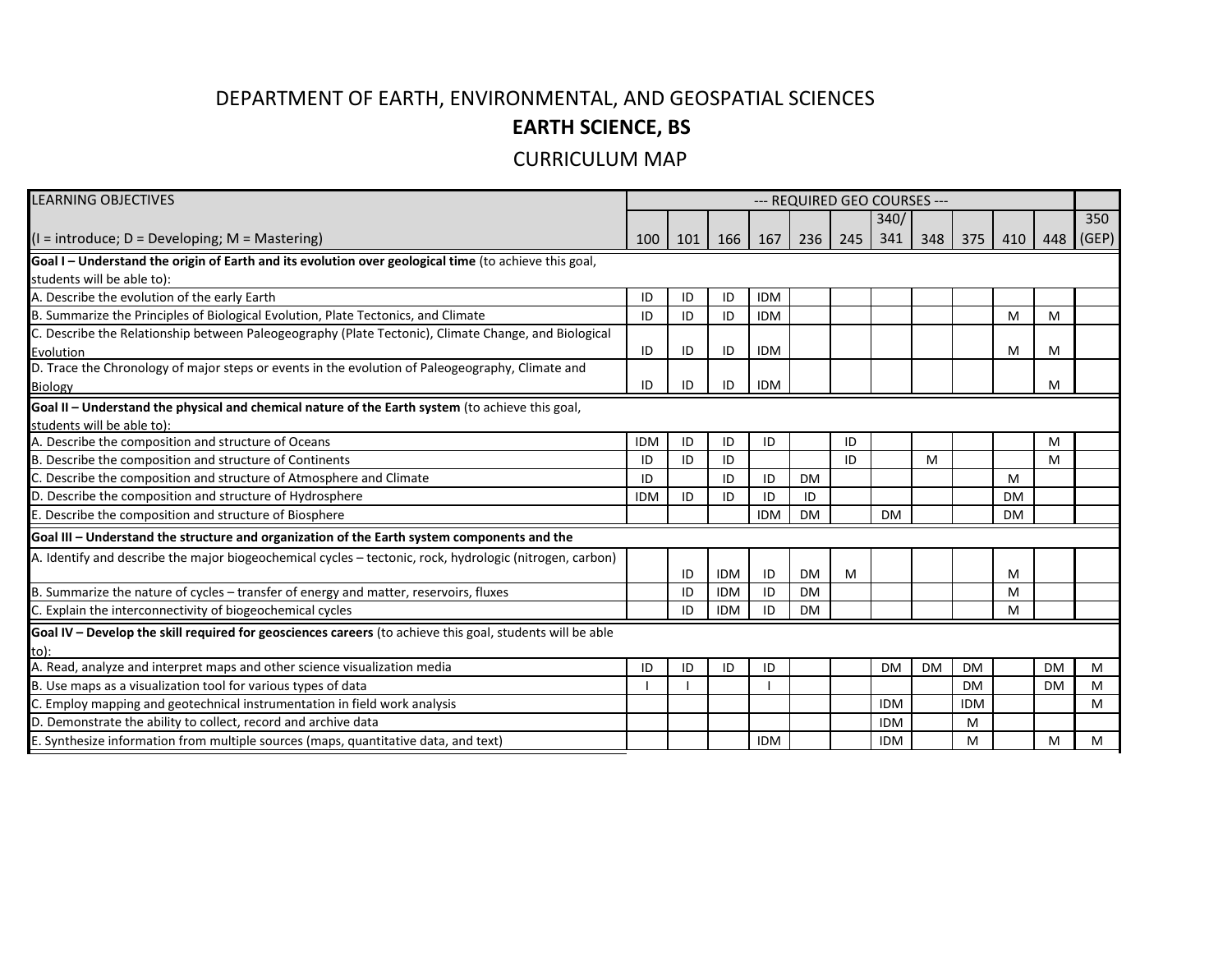## DEPARTMENT OF EARTH, ENVIRONMENTAL, AND GEOSPATIAL SCIENCES **EARTH SCIENCE, BS**

## CURRICULUM MAP

| LEARNING OBJECTIVES                                                                                       | --- REQUIRED GEO COURSES --- |     |            |            |           |     |            |           |            |           |           |           |
|-----------------------------------------------------------------------------------------------------------|------------------------------|-----|------------|------------|-----------|-----|------------|-----------|------------|-----------|-----------|-----------|
|                                                                                                           |                              |     |            |            |           |     | 340/       |           |            |           |           | 350       |
| $(I = introduce; D = Developing; M = Mastering)$                                                          | 100                          | 101 | 166        | 167        | 236       | 245 | 341        | 348       | 375        | 410       |           | 448 (GEP) |
| Goal I - Understand the origin of Earth and its evolution over geological time (to achieve this goal,     |                              |     |            |            |           |     |            |           |            |           |           |           |
| students will be able to):                                                                                |                              |     |            |            |           |     |            |           |            |           |           |           |
| A. Describe the evolution of the early Earth                                                              | ID                           | ID  | ID         | <b>IDM</b> |           |     |            |           |            |           |           |           |
| B. Summarize the Principles of Biological Evolution, Plate Tectonics, and Climate                         | ID                           | ID  | ID         | <b>IDM</b> |           |     |            |           |            | M         | M         |           |
| C. Describe the Relationship between Paleogeography (Plate Tectonic), Climate Change, and Biological      |                              |     |            |            |           |     |            |           |            |           |           |           |
| Evolution                                                                                                 | ID                           | ID  | ID         | <b>IDM</b> |           |     |            |           |            | M         | M         |           |
| D. Trace the Chronology of major steps or events in the evolution of Paleogeography, Climate and          |                              |     |            |            |           |     |            |           |            |           |           |           |
| Biology                                                                                                   | ID                           | ID  | ID         | <b>IDM</b> |           |     |            |           |            |           | M         |           |
| Goal II - Understand the physical and chemical nature of the Earth system (to achieve this goal,          |                              |     |            |            |           |     |            |           |            |           |           |           |
| students will be able to):                                                                                |                              |     |            |            |           |     |            |           |            |           |           |           |
| A. Describe the composition and structure of Oceans                                                       | <b>IDM</b>                   | ID  | ID         | ID         |           | ID  |            |           |            |           | M         |           |
| B. Describe the composition and structure of Continents                                                   | ID                           | ID  | ID         |            |           | ID  |            | M         |            |           | M         |           |
| C. Describe the composition and structure of Atmosphere and Climate                                       | ID                           |     | ID         | ID         | <b>DM</b> |     |            |           |            | M         |           |           |
| D. Describe the composition and structure of Hydrosphere                                                  | <b>IDM</b>                   | ID  | ID         | ID         | ID        |     |            |           |            | <b>DM</b> |           |           |
| E. Describe the composition and structure of Biosphere                                                    |                              |     |            | <b>IDM</b> | <b>DM</b> |     | <b>DM</b>  |           |            | <b>DM</b> |           |           |
| Goal III - Understand the structure and organization of the Earth system components and the               |                              |     |            |            |           |     |            |           |            |           |           |           |
| A. Identify and describe the major biogeochemical cycles – tectonic, rock, hydrologic (nitrogen, carbon)  |                              |     |            |            |           |     |            |           |            |           |           |           |
|                                                                                                           |                              | ID  | <b>IDM</b> | ID         | <b>DM</b> | M   |            |           |            | M         |           |           |
| B. Summarize the nature of cycles - transfer of energy and matter, reservoirs, fluxes                     |                              | ID  | <b>IDM</b> | ID         | <b>DM</b> |     |            |           |            | M         |           |           |
| C. Explain the interconnectivity of biogeochemical cycles                                                 |                              | ID  | <b>IDM</b> | ID         | <b>DM</b> |     |            |           |            | M         |           |           |
| Goal IV - Develop the skill required for geosciences careers (to achieve this goal, students will be able |                              |     |            |            |           |     |            |           |            |           |           |           |
| to):                                                                                                      |                              |     |            |            |           |     |            |           |            |           |           |           |
| A. Read, analyze and interpret maps and other science visualization media                                 | ID                           | ID  | ID         | ID         |           |     | <b>DM</b>  | <b>DM</b> | <b>DM</b>  |           | <b>DM</b> | M         |
| B. Use maps as a visualization tool for various types of data                                             |                              |     |            |            |           |     |            |           | <b>DM</b>  |           | <b>DM</b> | M         |
| C. Employ mapping and geotechnical instrumentation in field work analysis                                 |                              |     |            |            |           |     | <b>IDM</b> |           | <b>IDM</b> |           |           | м         |
| D. Demonstrate the ability to collect, record and archive data                                            |                              |     |            |            |           |     | <b>IDM</b> |           | M          |           |           |           |
| E. Synthesize information from multiple sources (maps, quantitative data, and text)                       |                              |     |            | <b>IDM</b> |           |     | <b>IDM</b> |           | M          |           | M         | м         |